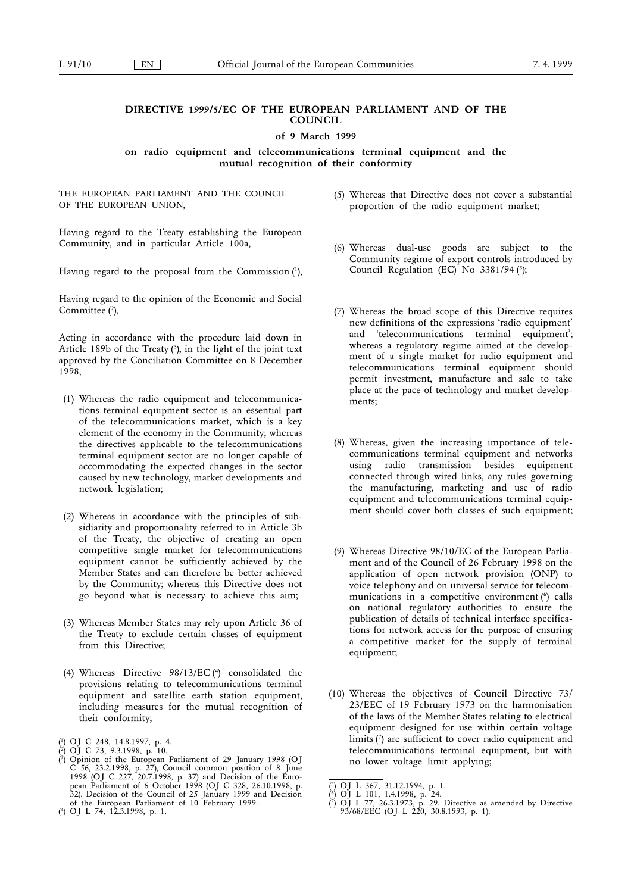# **DIRECTIVE 1999/5/EC OF THE EUROPEAN PARLIAMENT AND OF THE COUNCIL**

#### **of 9 March 1999**

### **on radio equipment and telecommunications terminal equipment and the mutual recognition of their conformity**

THE EUROPEAN PARLIAMENT AND THE COUNCIL OF THE EUROPEAN UNION,

Having regard to the Treaty establishing the European Community, and in particular Article 100a,

Having regard to the proposal from the Commission (1),

Having regard to the opinion of the Economic and Social Committee  $(2)$ ,

Acting in accordance with the procedure laid down in Article 189b of the Treaty  $(3)$ , in the light of the joint text approved by the Conciliation Committee on 8 December 1998,

- (1) Whereas the radio equipment and telecommunications terminal equipment sector is an essential part of the telecommunications market, which is a key element of the economy in the Community; whereas the directives applicable to the telecommunications terminal equipment sector are no longer capable of accommodating the expected changes in the sector caused by new technology, market developments and network legislation;
- (2) Whereas in accordance with the principles of subsidiarity and proportionality referred to in Article 3b of the Treaty, the objective of creating an open competitive single market for telecommunications equipment cannot be sufficiently achieved by the Member States and can therefore be better achieved by the Community; whereas this Directive does not go beyond what is necessary to achieve this aim;
- (3) Whereas Member States may rely upon Article 36 of the Treaty to exclude certain classes of equipment from this Directive;
- (4) Whereas Directive 98/13/EC (4 ) consolidated the provisions relating to telecommunications terminal equipment and satellite earth station equipment, including measures for the mutual recognition of their conformity;
- (5) Whereas that Directive does not cover a substantial proportion of the radio equipment market;
- (6) Whereas dual-use goods are subject to the Community regime of export controls introduced by Council Regulation (EC) No  $3381/94$  (5);
- (7) Whereas the broad scope of this Directive requires new definitions of the expressions 'radio equipment' and 'telecommunications terminal equipment'; whereas a regulatory regime aimed at the development of a single market for radio equipment and telecommunications terminal equipment should permit investment, manufacture and sale to take place at the pace of technology and market developments;
- (8) Whereas, given the increasing importance of telecommunications terminal equipment and networks using radio transmission besides equipment connected through wired links, any rules governing the manufacturing, marketing and use of radio equipment and telecommunications terminal equipment should cover both classes of such equipment;
- (9) Whereas Directive 98/10/EC of the European Parliament and of the Council of 26 February 1998 on the application of open network provision (ONP) to voice telephony and on universal service for telecommunications in a competitive environment (<sup>6</sup>) calls on national regulatory authorities to ensure the publication of details of technical interface specifications for network access for the purpose of ensuring a competitive market for the supply of terminal equipment;
- (10) Whereas the objectives of Council Directive 73/ 23/EEC of 19 February 1973 on the harmonisation of the laws of the Member States relating to electrical equipment designed for use within certain voltage limits (7) are sufficient to cover radio equipment and telecommunications terminal equipment, but with no lower voltage limit applying;

<sup>(</sup> 1) OJ C 248, 14.8.1997, p. 4.

<sup>(</sup> 2) OJ C 73, 9.3.1998, p. 10.

<sup>(</sup> 3) Opinion of the European Parliament of 29 January 1998 (OJ C 56, 23.2.1998, p. 27), Council common position of 8 June 1998 (OJ C 227, 20.7.1998, p. 37) and Decision of the European Parliament of 6 October 1998 (OJ C 328, 26.10.1998, p. 32). Decision of the Council of 25 January 1999 and Decision of the European Parliament of 10 February 1999.

<sup>(</sup> 5) OJ L 367, 31.12.1994, p. 1.

<sup>(</sup> 6) OJ L 101, 1.4.1998, p. 24.

<sup>(</sup> 7) OJ L 77, 26.3.1973, p. 29. Directive as amended by Directive (\*) OJ L 74, 12.3.1998, p. 1. 4) OJ L 74, 12.3.1993, p. 1.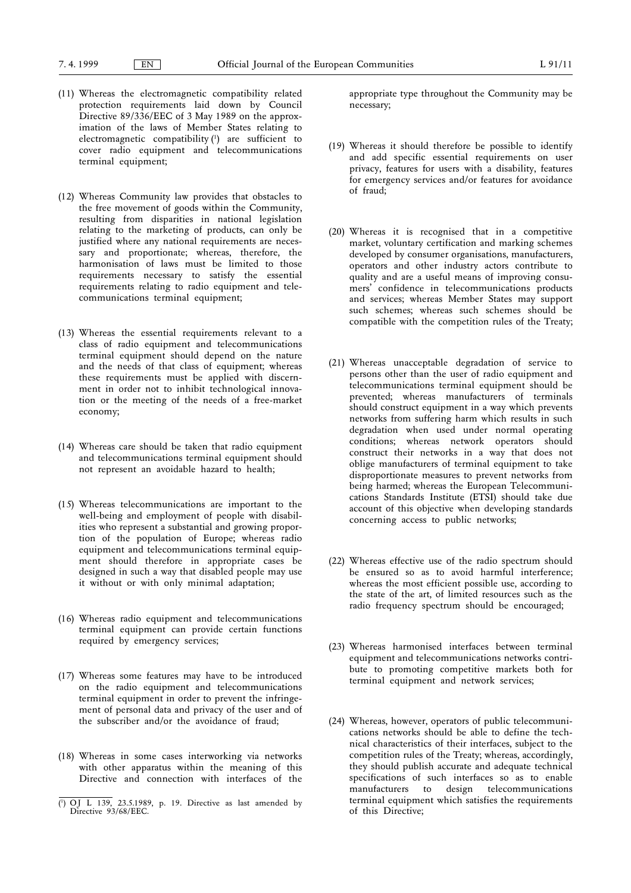- (11) Whereas the electromagnetic compatibility related protection requirements laid down by Council Directive 89/336/EEC of 3 May 1989 on the approximation of the laws of Member States relating to electromagnetic compatibility (1) are sufficient to cover radio equipment and telecommunications terminal equipment;
- (12) Whereas Community law provides that obstacles to the free movement of goods within the Community, resulting from disparities in national legislation relating to the marketing of products, can only be justified where any national requirements are necessary and proportionate; whereas, therefore, the harmonisation of laws must be limited to those requirements necessary to satisfy the essential requirements relating to radio equipment and telecommunications terminal equipment;
- (13) Whereas the essential requirements relevant to a class of radio equipment and telecommunications terminal equipment should depend on the nature and the needs of that class of equipment; whereas these requirements must be applied with discernment in order not to inhibit technological innovation or the meeting of the needs of a free-market economy;
- (14) Whereas care should be taken that radio equipment and telecommunications terminal equipment should not represent an avoidable hazard to health;
- (15) Whereas telecommunications are important to the well-being and employment of people with disabilities who represent a substantial and growing proportion of the population of Europe; whereas radio equipment and telecommunications terminal equipment should therefore in appropriate cases be designed in such a way that disabled people may use it without or with only minimal adaptation;
- (16) Whereas radio equipment and telecommunications terminal equipment can provide certain functions required by emergency services;
- (17) Whereas some features may have to be introduced on the radio equipment and telecommunications terminal equipment in order to prevent the infringement of personal data and privacy of the user and of the subscriber and/or the avoidance of fraud;
- (18) Whereas in some cases interworking via networks with other apparatus within the meaning of this Directive and connection with interfaces of the

appropriate type throughout the Community may be necessary;

- (19) Whereas it should therefore be possible to identify and add specific essential requirements on user privacy, features for users with a disability, features for emergency services and/or features for avoidance of fraud;
- (20) Whereas it is recognised that in a competitive market, voluntary certification and marking schemes developed by consumer organisations, manufacturers, operators and other industry actors contribute to quality and are a useful means of improving consumers' confidence in telecommunications products and services; whereas Member States may support such schemes; whereas such schemes should be compatible with the competition rules of the Treaty;
- (21) Whereas unacceptable degradation of service to persons other than the user of radio equipment and telecommunications terminal equipment should be prevented; whereas manufacturers of terminals should construct equipment in a way which prevents networks from suffering harm which results in such degradation when used under normal operating conditions; whereas network operators should construct their networks in a way that does not oblige manufacturers of terminal equipment to take disproportionate measures to prevent networks from being harmed; whereas the European Telecommunications Standards Institute (ETSI) should take due account of this objective when developing standards concerning access to public networks;
- (22) Whereas effective use of the radio spectrum should be ensured so as to avoid harmful interference; whereas the most efficient possible use, according to the state of the art, of limited resources such as the radio frequency spectrum should be encouraged;
- (23) Whereas harmonised interfaces between terminal equipment and telecommunications networks contribute to promoting competitive markets both for terminal equipment and network services;
- (24) Whereas, however, operators of public telecommunications networks should be able to define the technical characteristics of their interfaces, subject to the competition rules of the Treaty; whereas, accordingly, they should publish accurate and adequate technical specifications of such interfaces so as to enable manufacturers to design telecommunications terminal equipment which satisfies the requirements

<sup>(</sup>a) OJ L 139, 23.5.1989, p. 19. Directive as last amended by terminal equipment princetive; birective: Directive 93/68/EEC.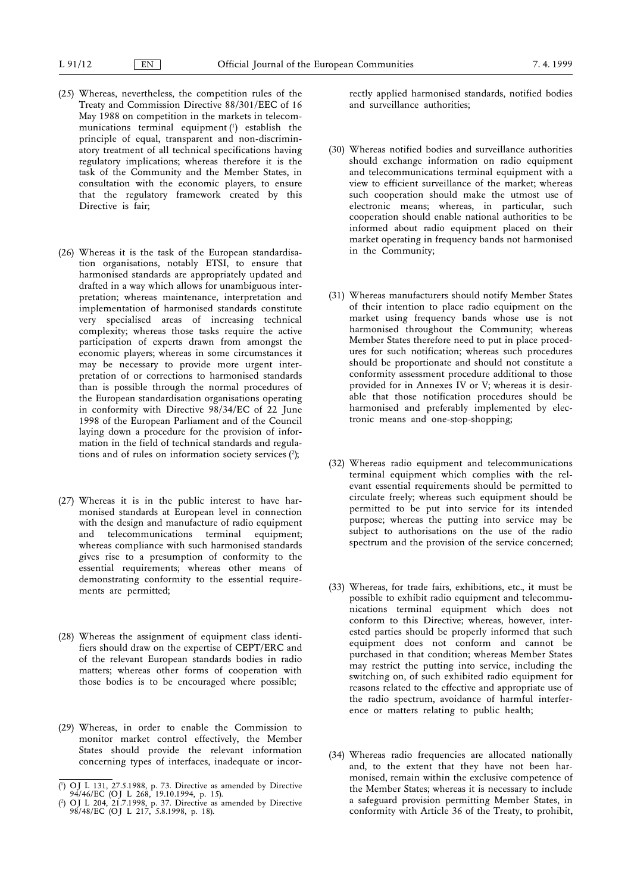- (25) Whereas, nevertheless, the competition rules of the Treaty and Commission Directive 88/301/EEC of 16 May 1988 on competition in the markets in telecommunications terminal equipment (1) establish the principle of equal, transparent and non-discriminatory treatment of all technical specifications having regulatory implications; whereas therefore it is the task of the Community and the Member States, in consultation with the economic players, to ensure that the regulatory framework created by this Directive is fair;
- (26) Whereas it is the task of the European standardisation organisations, notably ETSI, to ensure that harmonised standards are appropriately updated and drafted in a way which allows for unambiguous interpretation; whereas maintenance, interpretation and implementation of harmonised standards constitute very specialised areas of increasing technical complexity; whereas those tasks require the active participation of experts drawn from amongst the economic players; whereas in some circumstances it may be necessary to provide more urgent interpretation of or corrections to harmonised standards than is possible through the normal procedures of the European standardisation organisations operating in conformity with Directive 98/34/EC of 22 June 1998 of the European Parliament and of the Council laying down a procedure for the provision of information in the field of technical standards and regulations and of rules on information society services (2);
- (27) Whereas it is in the public interest to have harmonised standards at European level in connection with the design and manufacture of radio equipment and telecommunications terminal equipment; whereas compliance with such harmonised standards gives rise to a presumption of conformity to the essential requirements; whereas other means of demonstrating conformity to the essential requirements are permitted;
- (28) Whereas the assignment of equipment class identifiers should draw on the expertise of CEPT/ERC and of the relevant European standards bodies in radio matters; whereas other forms of cooperation with those bodies is to be encouraged where possible;
- (29) Whereas, in order to enable the Commission to monitor market control effectively, the Member States should provide the relevant information concerning types of interfaces, inadequate or incor-

rectly applied harmonised standards, notified bodies and surveillance authorities;

- (30) Whereas notified bodies and surveillance authorities should exchange information on radio equipment and telecommunications terminal equipment with a view to efficient surveillance of the market; whereas such cooperation should make the utmost use of electronic means; whereas, in particular, such cooperation should enable national authorities to be informed about radio equipment placed on their market operating in frequency bands not harmonised in the Community;
- (31) Whereas manufacturers should notify Member States of their intention to place radio equipment on the market using frequency bands whose use is not harmonised throughout the Community; whereas Member States therefore need to put in place procedures for such notification; whereas such procedures should be proportionate and should not constitute a conformity assessment procedure additional to those provided for in Annexes IV or V; whereas it is desirable that those notification procedures should be harmonised and preferably implemented by electronic means and one-stop-shopping;
- (32) Whereas radio equipment and telecommunications terminal equipment which complies with the relevant essential requirements should be permitted to circulate freely; whereas such equipment should be permitted to be put into service for its intended purpose; whereas the putting into service may be subject to authorisations on the use of the radio spectrum and the provision of the service concerned;
- (33) Whereas, for trade fairs, exhibitions, etc., it must be possible to exhibit radio equipment and telecommunications terminal equipment which does not conform to this Directive; whereas, however, interested parties should be properly informed that such equipment does not conform and cannot be purchased in that condition; whereas Member States may restrict the putting into service, including the switching on, of such exhibited radio equipment for reasons related to the effective and appropriate use of the radio spectrum, avoidance of harmful interference or matters relating to public health;
- (34) Whereas radio frequencies are allocated nationally and, to the extent that they have not been harmonised, remain within the exclusive competence of the Member States; whereas it is necessary to include a safeguard provision permitting Member States, in conformity with Article 36 of the Treaty, to prohibit,

<sup>(</sup> 1) OJ L 131, 27.5.1988, p. 73. Directive as amended by Directive 94/46/EC (OJ L 268, 19.10.1994, p. 15).

<sup>(</sup> 2) OJ L 204, 21.7.1998, p. 37. Directive as amended by Directive 98/48/EC (OJ L 217, 5.8.1998, p. 18).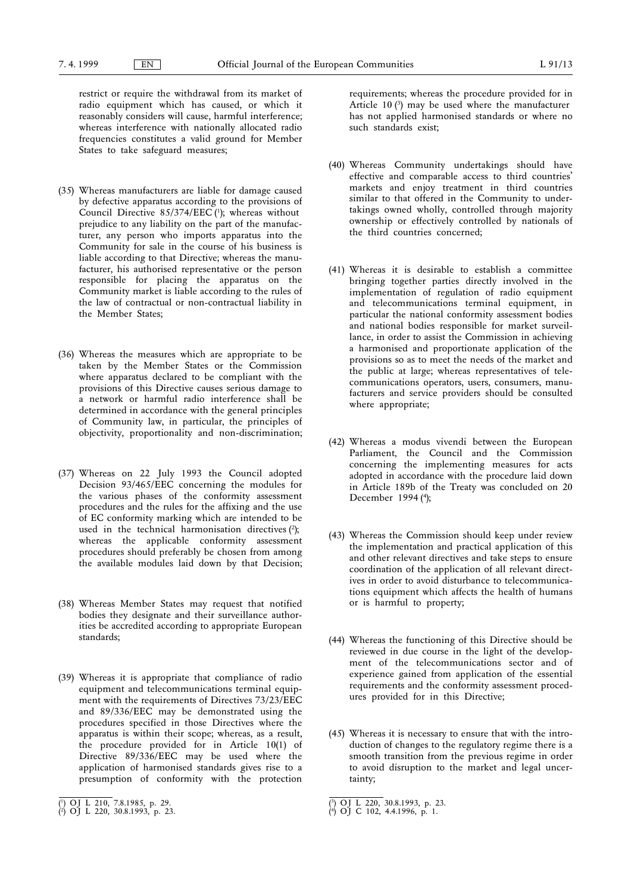restrict or require the withdrawal from its market of radio equipment which has caused, or which it reasonably considers will cause, harmful interference; whereas interference with nationally allocated radio frequencies constitutes a valid ground for Member States to take safeguard measures;

- (35) Whereas manufacturers are liable for damage caused by defective apparatus according to the provisions of Council Directive  $85/374/EEC$  (1); whereas without prejudice to any liability on the part of the manufacturer, any person who imports apparatus into the Community for sale in the course of his business is liable according to that Directive; whereas the manufacturer, his authorised representative or the person responsible for placing the apparatus on the Community market is liable according to the rules of the law of contractual or non-contractual liability in the Member States;
- (36) Whereas the measures which are appropriate to be taken by the Member States or the Commission where apparatus declared to be compliant with the provisions of this Directive causes serious damage to a network or harmful radio interference shall be determined in accordance with the general principles of Community law, in particular, the principles of objectivity, proportionality and non-discrimination;
- (37) Whereas on 22 July 1993 the Council adopted Decision 93/465/EEC concerning the modules for the various phases of the conformity assessment procedures and the rules for the affixing and the use of EC conformity marking which are intended to be used in the technical harmonisation directives  $(2)$ ; whereas the applicable conformity assessment procedures should preferably be chosen from among the available modules laid down by that Decision;
- (38) Whereas Member States may request that notified bodies they designate and their surveillance authorities be accredited according to appropriate European standards;
- (39) Whereas it is appropriate that compliance of radio equipment and telecommunications terminal equipment with the requirements of Directives 73/23/EEC and 89/336/EEC may be demonstrated using the procedures specified in those Directives where the apparatus is within their scope; whereas, as a result, the procedure provided for in Article 10(1) of Directive 89/336/EEC may be used where the application of harmonised standards gives rise to a presumption of conformity with the protection

requirements; whereas the procedure provided for in Article 10 $(3)$  may be used where the manufacturer has not applied harmonised standards or where no such standards exist;

- (40) Whereas Community undertakings should have effective and comparable access to third countries' markets and enjoy treatment in third countries similar to that offered in the Community to undertakings owned wholly, controlled through majority ownership or effectively controlled by nationals of the third countries concerned;
- (41) Whereas it is desirable to establish a committee bringing together parties directly involved in the implementation of regulation of radio equipment and telecommunications terminal equipment, in particular the national conformity assessment bodies and national bodies responsible for market surveillance, in order to assist the Commission in achieving a harmonised and proportionate application of the provisions so as to meet the needs of the market and the public at large; whereas representatives of telecommunications operators, users, consumers, manufacturers and service providers should be consulted where appropriate;
- (42) Whereas a modus vivendi between the European Parliament, the Council and the Commission concerning the implementing measures for acts adopted in accordance with the procedure laid down in Article 189b of the Treaty was concluded on 20 December 1994 (4);
- (43) Whereas the Commission should keep under review the implementation and practical application of this and other relevant directives and take steps to ensure coordination of the application of all relevant directives in order to avoid disturbance to telecommunications equipment which affects the health of humans or is harmful to property;
- (44) Whereas the functioning of this Directive should be reviewed in due course in the light of the development of the telecommunications sector and of experience gained from application of the essential requirements and the conformity assessment procedures provided for in this Directive;
- (45) Whereas it is necessary to ensure that with the introduction of changes to the regulatory regime there is a smooth transition from the previous regime in order to avoid disruption to the market and legal uncertainty;

<sup>(1)</sup> OJ L 210, 7.8.1985, p. 29.

<sup>(</sup> 2) OJ L 220, 30.8.1993, p. 23. (4) OJ C 102, 4.4.1996, p. 1.

 $\overline{(^3)}$  OJ L 220, 30.8.1993, p. 23.<br>  $(^4)$  OJ C 102, 4.4.1996, p. 1.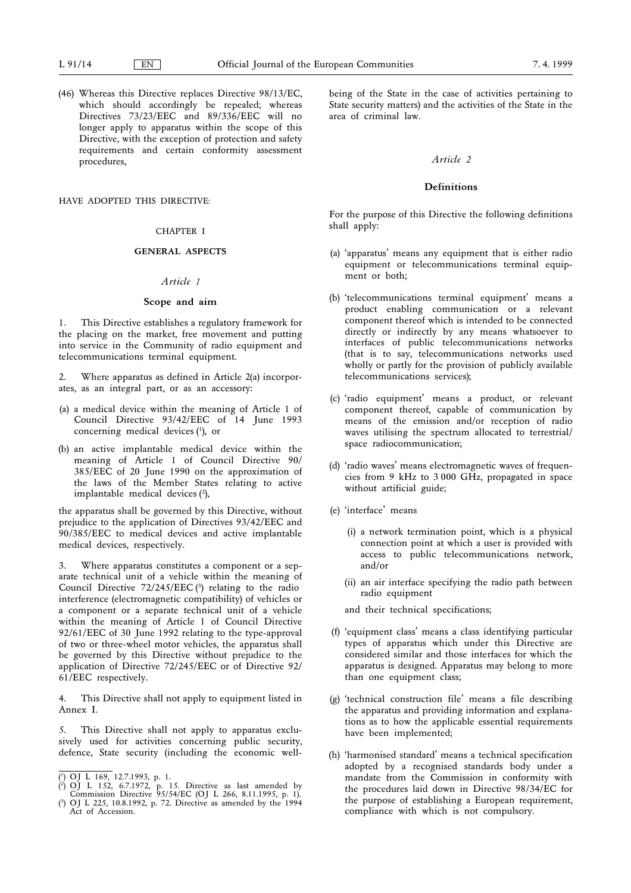(46) Whereas this Directive replaces Directive 98/13/EC, which should accordingly be repealed; whereas Directives 73/23/EEC and 89/336/EEC will no longer apply to apparatus within the scope of this Directive, with the exception of protection and safety requirements and certain conformity assessment procedures,

### HAVE ADOPTED THIS DIRECTIVE:

## CHAPTER I

## **GENERAL ASPECTS**

#### *Article 1*

#### **Scope and aim**

1. This Directive establishes a regulatory framework for the placing on the market, free movement and putting into service in the Community of radio equipment and telecommunications terminal equipment.

- 2. Where apparatus as defined in Article 2(a) incorporates, as an integral part, or as an accessory:
- (a) a medical device within the meaning of Article 1 of Council Directive 93/42/EEC of 14 June 1993 concerning medical devices (1 ), or
- (b) an active implantable medical device within the meaning of Article 1 of Council Directive 90/ 385/EEC of 20 June 1990 on the approximation of the laws of the Member States relating to active implantable medical devices (2),

the apparatus shall be governed by this Directive, without prejudice to the application of Directives 93/42/EEC and 90/385/EEC to medical devices and active implantable medical devices, respectively.

3. Where apparatus constitutes a component or a separate technical unit of a vehicle within the meaning of Council Directive 72/245/EEC (3) relating to the radio interference (electromagnetic compatibility) of vehicles or a component or a separate technical unit of a vehicle within the meaning of Article 1 of Council Directive 92/61/EEC of 30 June 1992 relating to the type-approval of two or three-wheel motor vehicles, the apparatus shall be governed by this Directive without prejudice to the application of Directive 72/245/EEC or of Directive 92/ 61/EEC respectively.

4. This Directive shall not apply to equipment listed in Annex I.

5. This Directive shall not apply to apparatus exclusively used for activities concerning public security, defence, State security (including the economic wellbeing of the State in the case of activities pertaining to State security matters) and the activities of the State in the area of criminal law.

### *Article 2*

#### **Definitions**

For the purpose of this Directive the following definitions shall apply:

- (a) 'apparatus' means any equipment that is either radio equipment or telecommunications terminal equipment or both;
- (b) 'telecommunications terminal equipment' means a product enabling communication or a relevant component thereof which is intended to be connected directly or indirectly by any means whatsoever to interfaces of public telecommunications networks (that is to say, telecommunications networks used wholly or partly for the provision of publicly available telecommunications services);
- (c) 'radio equipment' means a product, or relevant component thereof, capable of communication by means of the emission and/or reception of radio waves utilising the spectrum allocated to terrestrial/ space radiocommunication;
- (d) 'radio waves' means electromagnetic waves of frequencies from 9 kHz to 3 000 GHz, propagated in space without artificial guide;
- (e) 'interface' means
	- (i) a network termination point, which is a physical connection point at which a user is provided with access to public telecommunications network, and/or
	- (ii) an air interface specifying the radio path between radio equipment

and their technical specifications;

- (f) 'equipment class' means a class identifying particular types of apparatus which under this Directive are considered similar and those interfaces for which the apparatus is designed. Apparatus may belong to more than one equipment class;
- (g) 'technical construction file' means a file describing the apparatus and providing information and explanations as to how the applicable essential requirements have been implemented;
- (h) 'harmonised standard' means a technical specification adopted by a recognised standards body under a mandate from the Commission in conformity with the procedures laid down in Directive 98/34/EC for the purpose of establishing a European requirement, compliance with which is not compulsory.

<sup>(</sup> 1) OJ L 169, 12.7.1993, p. 1.

<sup>(</sup> 2) OJ L 152, 6.7.1972, p. 15. Directive as last amended by Commission Directive 95/54/EC (OJ L 266, 8.11.1995, p. 1).

<sup>(</sup> 3) OJ L 225, 10.8.1992, p. 72. Directive as amended by the 1994 Act of Accession.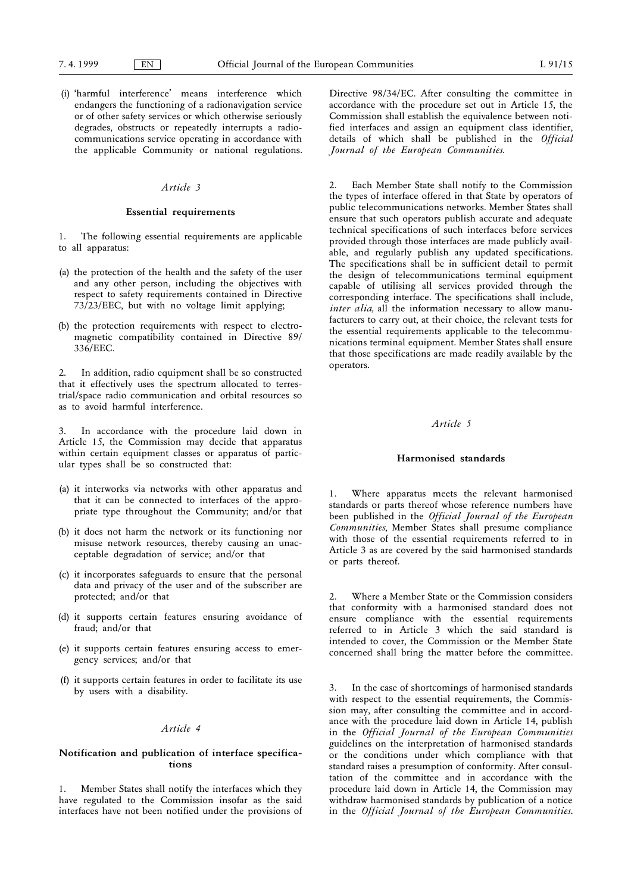(i) 'harmful interference' means interference which endangers the functioning of a radionavigation service or of other safety services or which otherwise seriously degrades, obstructs or repeatedly interrupts a radiocommunications service operating in accordance with the applicable Community or national regulations.

### *Article 3*

#### **Essential requirements**

1. The following essential requirements are applicable to all apparatus:

- (a) the protection of the health and the safety of the user and any other person, including the objectives with respect to safety requirements contained in Directive 73/23/EEC, but with no voltage limit applying;
- (b) the protection requirements with respect to electromagnetic compatibility contained in Directive 89/ 336/EEC.

2. In addition, radio equipment shall be so constructed that it effectively uses the spectrum allocated to terrestrial/space radio communication and orbital resources so as to avoid harmful interference.

In accordance with the procedure laid down in Article 15, the Commission may decide that apparatus within certain equipment classes or apparatus of particular types shall be so constructed that:

- (a) it interworks via networks with other apparatus and that it can be connected to interfaces of the appropriate type throughout the Community; and/or that
- (b) it does not harm the network or its functioning nor misuse network resources, thereby causing an unacceptable degradation of service; and/or that
- (c) it incorporates safeguards to ensure that the personal data and privacy of the user and of the subscriber are protected; and/or that
- (d) it supports certain features ensuring avoidance of fraud; and/or that
- (e) it supports certain features ensuring access to emergency services; and/or that
- (f) it supports certain features in order to facilitate its use by users with a disability.

#### *Article 4*

### **Notification and publication of interface specifications**

1. Member States shall notify the interfaces which they have regulated to the Commission insofar as the said interfaces have not been notified under the provisions of Directive 98/34/EC. After consulting the committee in accordance with the procedure set out in Article 15, the Commission shall establish the equivalence between notified interfaces and assign an equipment class identifier, details of which shall be published in the *Official Journal of the European Communities*.

2. Each Member State shall notify to the Commission the types of interface offered in that State by operators of public telecommunications networks. Member States shall ensure that such operators publish accurate and adequate technical specifications of such interfaces before services provided through those interfaces are made publicly available, and regularly publish any updated specifications. The specifications shall be in sufficient detail to permit the design of telecommunications terminal equipment capable of utilising all services provided through the corresponding interface. The specifications shall include, *inter alia,* all the information necessary to allow manufacturers to carry out, at their choice, the relevant tests for the essential requirements applicable to the telecommunications terminal equipment. Member States shall ensure that those specifications are made readily available by the operators.

## *Article 5*

## **Harmonised standards**

1. Where apparatus meets the relevant harmonised standards or parts thereof whose reference numbers have been published in the *Official Journal of the European Communities*, Member States shall presume compliance with those of the essential requirements referred to in Article 3 as are covered by the said harmonised standards or parts thereof.

2. Where a Member State or the Commission considers that conformity with a harmonised standard does not ensure compliance with the essential requirements referred to in Article 3 which the said standard is intended to cover, the Commission or the Member State concerned shall bring the matter before the committee.

3. In the case of shortcomings of harmonised standards with respect to the essential requirements, the Commission may, after consulting the committee and in accordance with the procedure laid down in Article 14, publish in the *Official Journal of the European Communities* guidelines on the interpretation of harmonised standards or the conditions under which compliance with that standard raises a presumption of conformity. After consultation of the committee and in accordance with the procedure laid down in Article 14, the Commission may withdraw harmonised standards by publication of a notice in the *Official Journal of the European Communities*.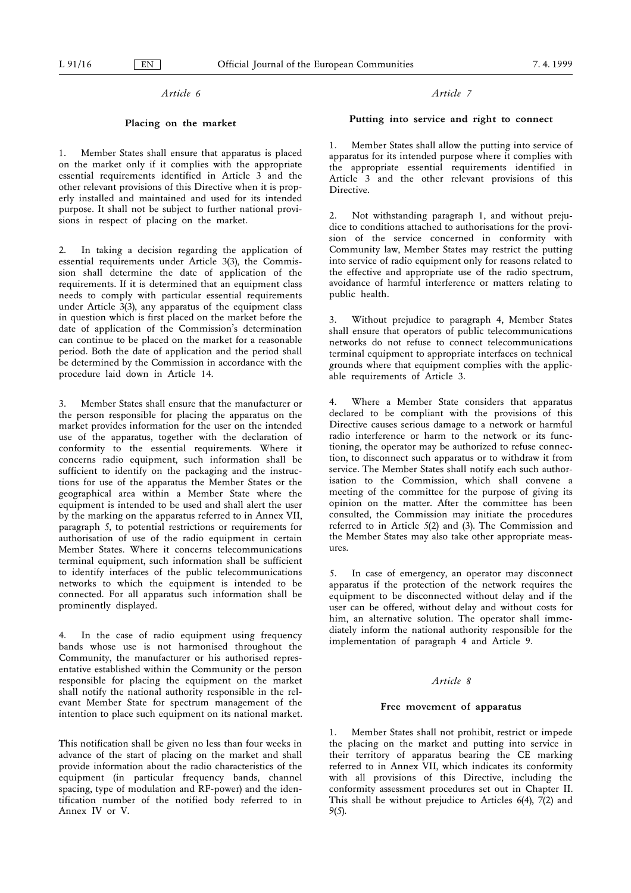*Article 6*

## **Placing on the market**

1. Member States shall ensure that apparatus is placed on the market only if it complies with the appropriate essential requirements identified in Article 3 and the other relevant provisions of this Directive when it is properly installed and maintained and used for its intended purpose. It shall not be subject to further national provisions in respect of placing on the market.

2. In taking a decision regarding the application of essential requirements under Article 3(3), the Commission shall determine the date of application of the requirements. If it is determined that an equipment class needs to comply with particular essential requirements under Article 3(3), any apparatus of the equipment class in question which is first placed on the market before the date of application of the Commission's determination can continue to be placed on the market for a reasonable period. Both the date of application and the period shall be determined by the Commission in accordance with the procedure laid down in Article 14.

3. Member States shall ensure that the manufacturer or the person responsible for placing the apparatus on the market provides information for the user on the intended use of the apparatus, together with the declaration of conformity to the essential requirements. Where it concerns radio equipment, such information shall be sufficient to identify on the packaging and the instructions for use of the apparatus the Member States or the geographical area within a Member State where the equipment is intended to be used and shall alert the user by the marking on the apparatus referred to in Annex VII, paragraph 5, to potential restrictions or requirements for authorisation of use of the radio equipment in certain Member States. Where it concerns telecommunications terminal equipment, such information shall be sufficient to identify interfaces of the public telecommunications networks to which the equipment is intended to be connected. For all apparatus such information shall be prominently displayed.

4. In the case of radio equipment using frequency bands whose use is not harmonised throughout the Community, the manufacturer or his authorised representative established within the Community or the person responsible for placing the equipment on the market shall notify the national authority responsible in the relevant Member State for spectrum management of the intention to place such equipment on its national market.

This notification shall be given no less than four weeks in advance of the start of placing on the market and shall provide information about the radio characteristics of the equipment (in particular frequency bands, channel spacing, type of modulation and RF-power) and the identification number of the notified body referred to in Annex IV or V.

## *Article 7*

## **Putting into service and right to connect**

Member States shall allow the putting into service of apparatus for its intended purpose where it complies with the appropriate essential requirements identified in Article 3 and the other relevant provisions of this Directive.

2. Not withstanding paragraph 1, and without prejudice to conditions attached to authorisations for the provision of the service concerned in conformity with Community law, Member States may restrict the putting into service of radio equipment only for reasons related to the effective and appropriate use of the radio spectrum, avoidance of harmful interference or matters relating to public health.

Without prejudice to paragraph 4, Member States shall ensure that operators of public telecommunications networks do not refuse to connect telecommunications terminal equipment to appropriate interfaces on technical grounds where that equipment complies with the applicable requirements of Article 3.

4. Where a Member State considers that apparatus declared to be compliant with the provisions of this Directive causes serious damage to a network or harmful radio interference or harm to the network or its functioning, the operator may be authorized to refuse connection, to disconnect such apparatus or to withdraw it from service. The Member States shall notify each such authorisation to the Commission, which shall convene a meeting of the committee for the purpose of giving its opinion on the matter. After the committee has been consulted, the Commission may initiate the procedures referred to in Article 5(2) and (3). The Commission and the Member States may also take other appropriate measures.

5. In case of emergency, an operator may disconnect apparatus if the protection of the network requires the equipment to be disconnected without delay and if the user can be offered, without delay and without costs for him, an alternative solution. The operator shall immediately inform the national authority responsible for the implementation of paragraph 4 and Article 9.

#### *Article 8*

#### **Free movement of apparatus**

1. Member States shall not prohibit, restrict or impede the placing on the market and putting into service in their territory of apparatus bearing the CE marking referred to in Annex VII, which indicates its conformity with all provisions of this Directive, including the conformity assessment procedures set out in Chapter II. This shall be without prejudice to Articles  $6(4)$ ,  $7(2)$  and 9(5).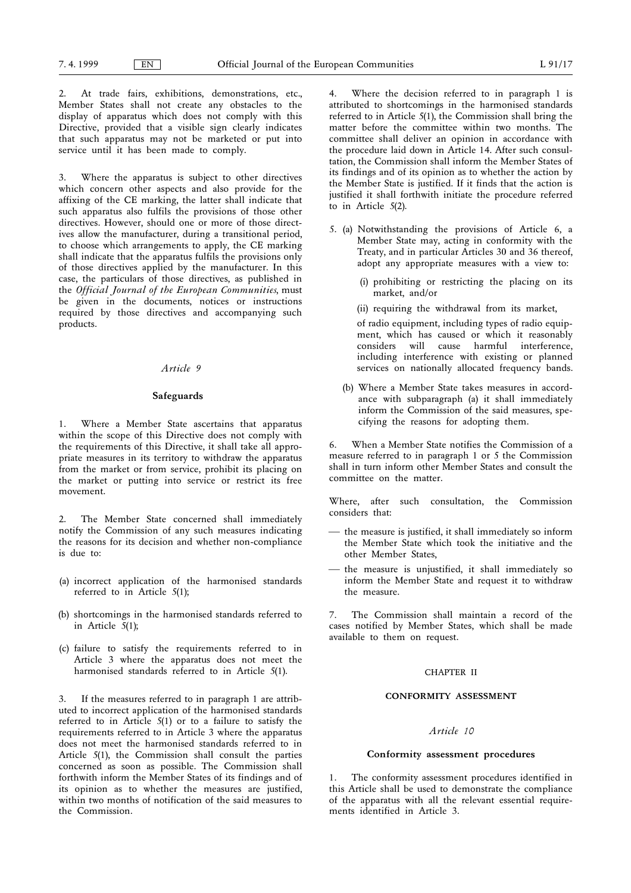At trade fairs, exhibitions, demonstrations, etc., Member States shall not create any obstacles to the display of apparatus which does not comply with this Directive, provided that a visible sign clearly indicates that such apparatus may not be marketed or put into service until it has been made to comply.

3. Where the apparatus is subject to other directives which concern other aspects and also provide for the affixing of the CE marking, the latter shall indicate that such apparatus also fulfils the provisions of those other directives. However, should one or more of those directives allow the manufacturer, during a transitional period, to choose which arrangements to apply, the CE marking shall indicate that the apparatus fulfils the provisions only of those directives applied by the manufacturer. In this case, the particulars of those directives, as published in the *Official Journal of the European Communities*, must be given in the documents, notices or instructions required by those directives and accompanying such products.

### *Article 9*

### **Safeguards**

1. Where a Member State ascertains that apparatus within the scope of this Directive does not comply with the requirements of this Directive, it shall take all appropriate measures in its territory to withdraw the apparatus from the market or from service, prohibit its placing on the market or putting into service or restrict its free movement.

2. The Member State concerned shall immediately notify the Commission of any such measures indicating the reasons for its decision and whether non-compliance is due to:

- (a) incorrect application of the harmonised standards referred to in Article 5(1);
- (b) shortcomings in the harmonised standards referred to in Article  $5(1)$ ;
- (c) failure to satisfy the requirements referred to in Article 3 where the apparatus does not meet the harmonised standards referred to in Article 5(1).

3. If the measures referred to in paragraph 1 are attributed to incorrect application of the harmonised standards referred to in Article 5(1) or to a failure to satisfy the requirements referred to in Article 3 where the apparatus does not meet the harmonised standards referred to in Article 5(1), the Commission shall consult the parties concerned as soon as possible. The Commission shall forthwith inform the Member States of its findings and of its opinion as to whether the measures are justified, within two months of notification of the said measures to the Commission.

4. Where the decision referred to in paragraph 1 is attributed to shortcomings in the harmonised standards referred to in Article 5(1), the Commission shall bring the matter before the committee within two months. The committee shall deliver an opinion in accordance with the procedure laid down in Article 14. After such consultation, the Commission shall inform the Member States of its findings and of its opinion as to whether the action by the Member State is justified. If it finds that the action is justified it shall forthwith initiate the procedure referred to in Article 5(2).

- 5. (a) Notwithstanding the provisions of Article 6, a Member State may, acting in conformity with the Treaty, and in particular Articles 30 and 36 thereof, adopt any appropriate measures with a view to:
	- (i) prohibiting or restricting the placing on its market, and/or
	- (ii) requiring the withdrawal from its market,

of radio equipment, including types of radio equipment, which has caused or which it reasonably considers will cause harmful interference, including interference with existing or planned services on nationally allocated frequency bands.

(b) Where a Member State takes measures in accordance with subparagraph (a) it shall immediately inform the Commission of the said measures, specifying the reasons for adopting them.

6. When a Member State notifies the Commission of a measure referred to in paragraph 1 or 5 the Commission shall in turn inform other Member States and consult the committee on the matter.

Where, after such consultation, the Commission considers that:

- the measure is justified, it shall immediately so inform the Member State which took the initiative and the other Member States,
- the measure is unjustified, it shall immediately so inform the Member State and request it to withdraw the measure.

7. The Commission shall maintain a record of the cases notified by Member States, which shall be made available to them on request.

### CHAPTER II

#### **CONFORMITY ASSESSMENT**

### *Article 10*

### **Conformity assessment procedures**

1. The conformity assessment procedures identified in this Article shall be used to demonstrate the compliance of the apparatus with all the relevant essential requirements identified in Article 3.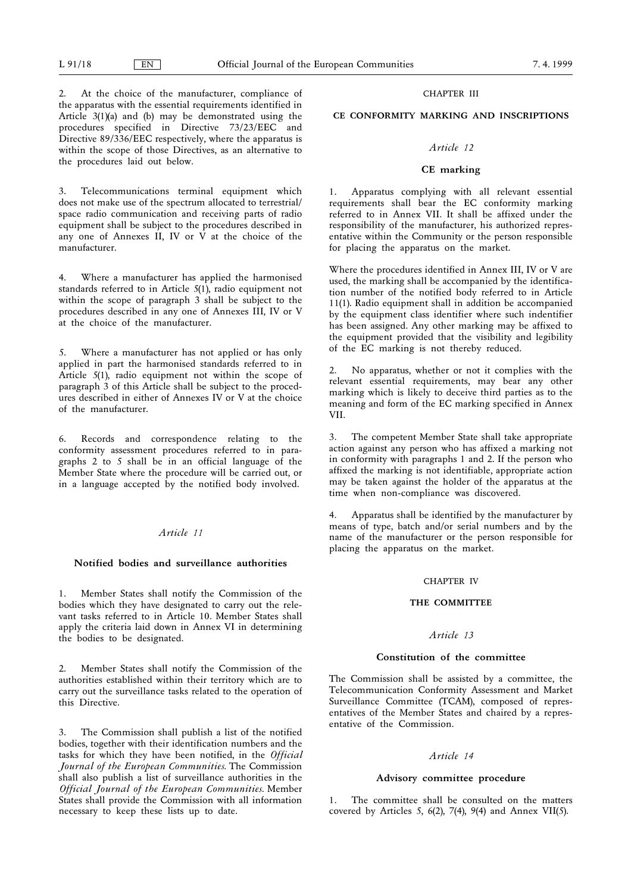2. At the choice of the manufacturer, compliance of the apparatus with the essential requirements identified in Article 3(1)(a) and (b) may be demonstrated using the procedures specified in Directive 73/23/EEC and Directive 89/336/EEC respectively, where the apparatus is within the scope of those Directives, as an alternative to the procedures laid out below.

3. Telecommunications terminal equipment which does not make use of the spectrum allocated to terrestrial/ space radio communication and receiving parts of radio equipment shall be subject to the procedures described in any one of Annexes II, IV or  $\hat{V}$  at the choice of the manufacturer.

4. Where a manufacturer has applied the harmonised standards referred to in Article  $5(1)$ , radio equipment not within the scope of paragraph  $3$  shall be subject to the procedures described in any one of Annexes III, IV or V at the choice of the manufacturer.

5. Where a manufacturer has not applied or has only applied in part the harmonised standards referred to in Article 5(1), radio equipment not within the scope of paragraph 3 of this Article shall be subject to the procedures described in either of Annexes IV or V at the choice of the manufacturer.

6. Records and correspondence relating to the conformity assessment procedures referred to in paragraphs 2 to 5 shall be in an official language of the Member State where the procedure will be carried out, or in a language accepted by the notified body involved.

#### *Article 11*

## **Notified bodies and surveillance authorities**

1. Member States shall notify the Commission of the bodies which they have designated to carry out the relevant tasks referred to in Article 10. Member States shall apply the criteria laid down in Annex VI in determining the bodies to be designated.

2. Member States shall notify the Commission of the authorities established within their territory which are to carry out the surveillance tasks related to the operation of this Directive.

3. The Commission shall publish a list of the notified bodies, together with their identification numbers and the tasks for which they have been notified, in the *Official Journal of the European Communities*. The Commission shall also publish a list of surveillance authorities in the *Official Journal of the European Communities*. Member States shall provide the Commission with all information necessary to keep these lists up to date.

#### CHAPTER III

### **CE CONFORMITY MARKING AND INSCRIPTIONS**

# *Article 12*

# **CE marking**

1. Apparatus complying with all relevant essential requirements shall bear the EC conformity marking referred to in Annex VII. It shall be affixed under the responsibility of the manufacturer, his authorized representative within the Community or the person responsible for placing the apparatus on the market.

Where the procedures identified in Annex III, IV or V are used, the marking shall be accompanied by the identification number of the notified body referred to in Article 11(1). Radio equipment shall in addition be accompanied by the equipment class identifier where such indentifier has been assigned. Any other marking may be affixed to the equipment provided that the visibility and legibility of the EC marking is not thereby reduced.

2. No apparatus, whether or not it complies with the relevant essential requirements, may bear any other marking which is likely to deceive third parties as to the meaning and form of the EC marking specified in Annex VII.

3. The competent Member State shall take appropriate action against any person who has affixed a marking not in conformity with paragraphs 1 and 2. If the person who affixed the marking is not identifiable, appropriate action may be taken against the holder of the apparatus at the time when non-compliance was discovered.

4. Apparatus shall be identified by the manufacturer by means of type, batch and/or serial numbers and by the name of the manufacturer or the person responsible for placing the apparatus on the market.

### CHAPTER IV

#### **THE COMMITTEE**

## *Article 13*

### **Constitution of the committee**

The Commission shall be assisted by a committee, the Telecommunication Conformity Assessment and Market Surveillance Committee (TCAM), composed of representatives of the Member States and chaired by a representative of the Commission.

#### *Article 14*

### **Advisory committee procedure**

1. The committee shall be consulted on the matters covered by Articles 5,  $6(2)$ ,  $7(4)$ ,  $9(4)$  and Annex VII(5).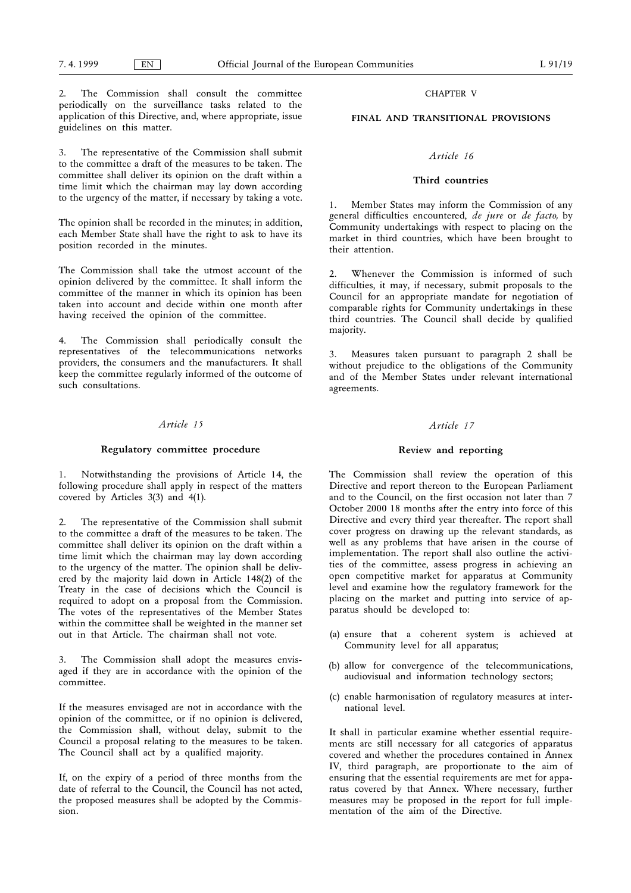2. The Commission shall consult the committee periodically on the surveillance tasks related to the application of this Directive, and, where appropriate, issue guidelines on this matter.

3. The representative of the Commission shall submit to the committee a draft of the measures to be taken. The committee shall deliver its opinion on the draft within a time limit which the chairman may lay down according to the urgency of the matter, if necessary by taking a vote.

The opinion shall be recorded in the minutes; in addition, each Member State shall have the right to ask to have its position recorded in the minutes.

The Commission shall take the utmost account of the opinion delivered by the committee. It shall inform the committee of the manner in which its opinion has been taken into account and decide within one month after having received the opinion of the committee.

4. The Commission shall periodically consult the representatives of the telecommunications networks providers, the consumers and the manufacturers. It shall keep the committee regularly informed of the outcome of such consultations.

# *Article 15*

### **Regulatory committee procedure**

1. Notwithstanding the provisions of Article 14, the following procedure shall apply in respect of the matters covered by Articles 3(3) and 4(1).

2. The representative of the Commission shall submit to the committee a draft of the measures to be taken. The committee shall deliver its opinion on the draft within a time limit which the chairman may lay down according to the urgency of the matter. The opinion shall be delivered by the majority laid down in Article 148(2) of the Treaty in the case of decisions which the Council is required to adopt on a proposal from the Commission. The votes of the representatives of the Member States within the committee shall be weighted in the manner set out in that Article. The chairman shall not vote.

The Commission shall adopt the measures envisaged if they are in accordance with the opinion of the committee.

If the measures envisaged are not in accordance with the opinion of the committee, or if no opinion is delivered, the Commission shall, without delay, submit to the Council a proposal relating to the measures to be taken. The Council shall act by a qualified majority.

If, on the expiry of a period of three months from the date of referral to the Council, the Council has not acted, the proposed measures shall be adopted by the Commission.

#### CHAPTER V

### **FINAL AND TRANSITIONAL PROVISIONS**

# *Article 16*

### **Third countries**

1. Member States may inform the Commission of any general difficulties encountered, *de jure* or *de facto,* by Community undertakings with respect to placing on the market in third countries, which have been brought to their attention.

2. Whenever the Commission is informed of such difficulties, it may, if necessary, submit proposals to the Council for an appropriate mandate for negotiation of comparable rights for Community undertakings in these third countries. The Council shall decide by qualified majority.

3. Measures taken pursuant to paragraph 2 shall be without prejudice to the obligations of the Community and of the Member States under relevant international agreements.

### *Article 17*

## **Review and reporting**

The Commission shall review the operation of this Directive and report thereon to the European Parliament and to the Council, on the first occasion not later than 7 October 2000 18 months after the entry into force of this Directive and every third year thereafter. The report shall cover progress on drawing up the relevant standards, as well as any problems that have arisen in the course of implementation. The report shall also outline the activities of the committee, assess progress in achieving an open competitive market for apparatus at Community level and examine how the regulatory framework for the placing on the market and putting into service of apparatus should be developed to:

- (a) ensure that a coherent system is achieved at Community level for all apparatus;
- (b) allow for convergence of the telecommunications, audiovisual and information technology sectors;
- (c) enable harmonisation of regulatory measures at international level.

It shall in particular examine whether essential requirements are still necessary for all categories of apparatus covered and whether the procedures contained in Annex IV, third paragraph, are proportionate to the aim of ensuring that the essential requirements are met for apparatus covered by that Annex. Where necessary, further measures may be proposed in the report for full implementation of the aim of the Directive.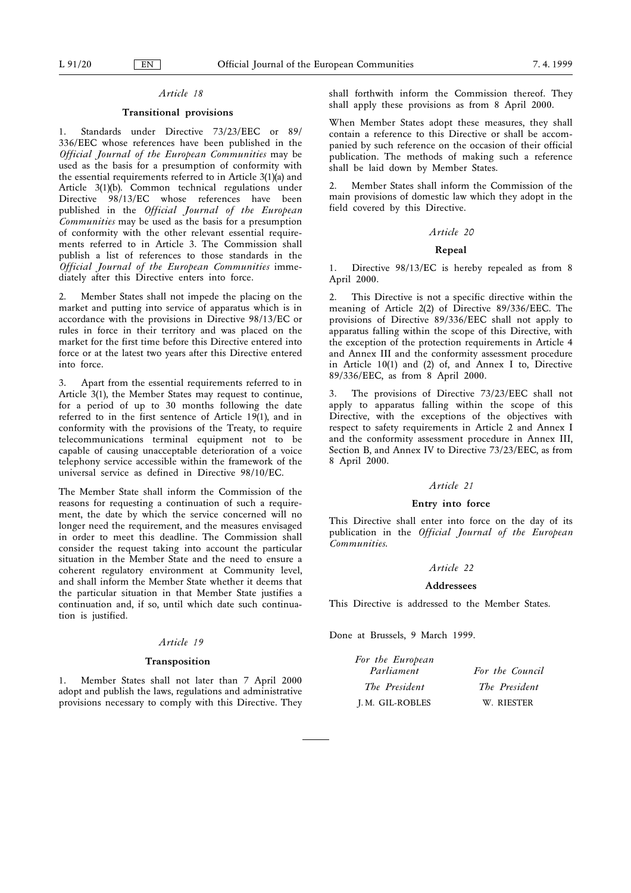# *Article 18*

### **Transitional provisions**

1. Standards under Directive 73/23/EEC or 89/ 336/EEC whose references have been published in the *Official Journal of the European Communities* may be used as the basis for a presumption of conformity with the essential requirements referred to in Article 3(1)(a) and Article 3(1)(b). Common technical regulations under Directive 98/13/EC whose references have been published in the *Official Journal of the European Communities* may be used as the basis for a presumption of conformity with the other relevant essential requirements referred to in Article 3. The Commission shall publish a list of references to those standards in the *Official Journal of the European Communities* immediately after this Directive enters into force.

Member States shall not impede the placing on the market and putting into service of apparatus which is in accordance with the provisions in Directive 98/13/EC or rules in force in their territory and was placed on the market for the first time before this Directive entered into force or at the latest two years after this Directive entered into force.

3. Apart from the essential requirements referred to in Article 3(1), the Member States may request to continue, for a period of up to 30 months following the date referred to in the first sentence of Article 19(1), and in conformity with the provisions of the Treaty, to require telecommunications terminal equipment not to be capable of causing unacceptable deterioration of a voice telephony service accessible within the framework of the universal service as defined in Directive 98/10/EC.

The Member State shall inform the Commission of the reasons for requesting a continuation of such a requirement, the date by which the service concerned will no longer need the requirement, and the measures envisaged in order to meet this deadline. The Commission shall consider the request taking into account the particular situation in the Member State and the need to ensure a coherent regulatory environment at Community level, and shall inform the Member State whether it deems that the particular situation in that Member State justifies a continuation and, if so, until which date such continuation is justified.

#### *Article 19*

### **Transposition**

1. Member States shall not later than 7 April 2000 adopt and publish the laws, regulations and administrative provisions necessary to comply with this Directive. They shall forthwith inform the Commission thereof. They shall apply these provisions as from 8 April 2000.

When Member States adopt these measures, they shall contain a reference to this Directive or shall be accompanied by such reference on the occasion of their official publication. The methods of making such a reference shall be laid down by Member States.

2. Member States shall inform the Commission of the main provisions of domestic law which they adopt in the field covered by this Directive.

#### *Article 20*

### **Repeal**

1. Directive 98/13/EC is hereby repealed as from 8 April 2000.

This Directive is not a specific directive within the meaning of Article 2(2) of Directive 89/336/EEC. The provisions of Directive 89/336/EEC shall not apply to apparatus falling within the scope of this Directive, with the exception of the protection requirements in Article 4 and Annex III and the conformity assessment procedure in Article 10(1) and (2) of, and Annex I to, Directive 89/336/EEC, as from 8 April 2000.

3. The provisions of Directive 73/23/EEC shall not apply to apparatus falling within the scope of this Directive, with the exceptions of the objectives with respect to safety requirements in Article 2 and Annex I and the conformity assessment procedure in Annex III, Section B, and Annex IV to Directive 73/23/EEC, as from 8 April 2000.

## *Article 21*

### **Entry into force**

This Directive shall enter into force on the day of its publication in the *Official Journal of the European Communities*.

### *Article 22*

# **Addressees**

This Directive is addressed to the Member States.

Done at Brussels, 9 March 1999.

| For the European |                 |
|------------------|-----------------|
| Parliament       | For the Council |
| The President    | The President   |
| J. M. GIL-ROBLES | W. RIESTER      |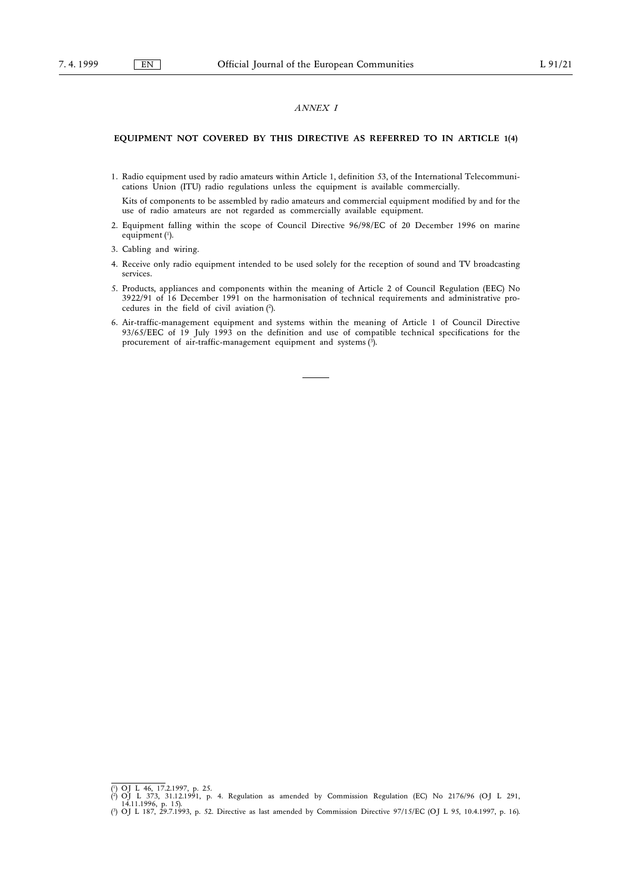#### *ANNEX I*

### **EQUIPMENT NOT COVERED BY THIS DIRECTIVE AS REFERRED TO IN ARTICLE 1(4)**

1. Radio equipment used by radio amateurs within Article 1, definition 53, of the International Telecommunications Union (ITU) radio regulations unless the equipment is available commercially.

Kits of components to be assembled by radio amateurs and commercial equipment modified by and for the use of radio amateurs are not regarded as commercially available equipment.

- 2. Equipment falling within the scope of Council Directive 96/98/EC of 20 December 1996 on marine equipment (1).
- 3. Cabling and wiring.
- 4. Receive only radio equipment intended to be used solely for the reception of sound and TV broadcasting services.
- 5. Products, appliances and components within the meaning of Article 2 of Council Regulation (EEC) No 3922/91 of 16 December 1991 on the harmonisation of technical requirements and administrative procedures in the field of civil aviation  $(2)$ .
- 6. Air-traffic-management equipment and systems within the meaning of Article 1 of Council Directive 93/65/EEC of 19 July 1993 on the definition and use of compatible technical specifications for the procurement of air-traffic-management equipment and systems  $(\hat{3})$ .

<sup>(</sup> 1) OJ L 46, 17.2.1997, p. 25. ( 2) OJ L 373, 31.12.1991, p. 4. Regulation as amended by Commission Regulation (EC) No 2176/96 (OJ L 291,

<sup>14.11.1996,</sup> p. 15). ( 3) OJ L 187, 29.7.1993, p. 52. Directive as last amended by Commission Directive 97/15/EC (OJ L 95, 10.4.1997, p. 16).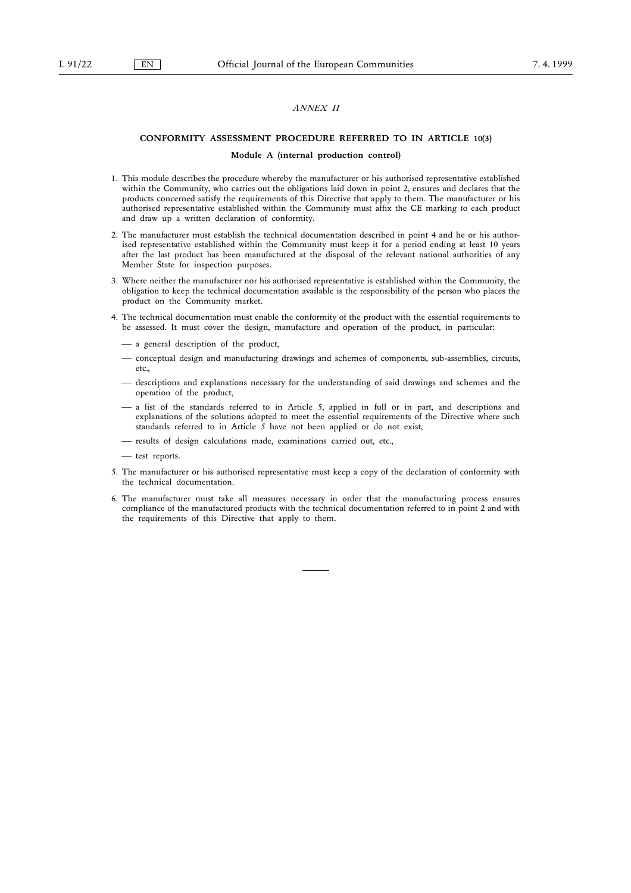#### *ANNEX II*

# **CONFORMITY ASSESSMENT PROCEDURE REFERRED TO IN ARTICLE 10(3)**

#### **Module A (internal production control)**

- 1. This module describes the procedure whereby the manufacturer or his authorised representative established within the Community, who carries out the obligations laid down in point 2, ensures and declares that the products concerned satisfy the requirements of this Directive that apply to them. The manufacturer or his authorised representative established within the Community must affix the CE marking to each product and draw up a written declaration of conformity.
- 2. The manufacturer must establish the technical documentation described in point 4 and he or his authorised representative established within the Community must keep it for a period ending at least 10 years after the last product has been manufactured at the disposal of the relevant national authorities of any Member State for inspection purposes.
- 3. Where neither the manufacturer nor his authorised representative is established within the Community, the obligation to keep the technical documentation available is the responsibility of the person who places the product on the Community market.
- 4. The technical documentation must enable the conformity of the product with the essential requirements to be assessed. It must cover the design, manufacture and operation of the product, in particular:
	- a general description of the product,
	- conceptual design and manufacturing drawings and schemes of components, sub-assemblies, circuits, etc.
	- descriptions and explanations necessary for the understanding of said drawings and schemes and the operation of the product,
	- -- a list of the standards referred to in Article 5, applied in full or in part, and descriptions and explanations of the solutions adopted to meet the essential requirements of the Directive where such standards referred to in Article 5 have not been applied or do not exist,
	- results of design calculations made, examinations carried out, etc.,
	- test reports.
- 5. The manufacturer or his authorised representative must keep a copy of the declaration of conformity with the technical documentation.
- 6. The manufacturer must take all measures necessary in order that the manufacturing process ensures compliance of the manufactured products with the technical documentation referred to in point 2 and with the requirements of this Directive that apply to them.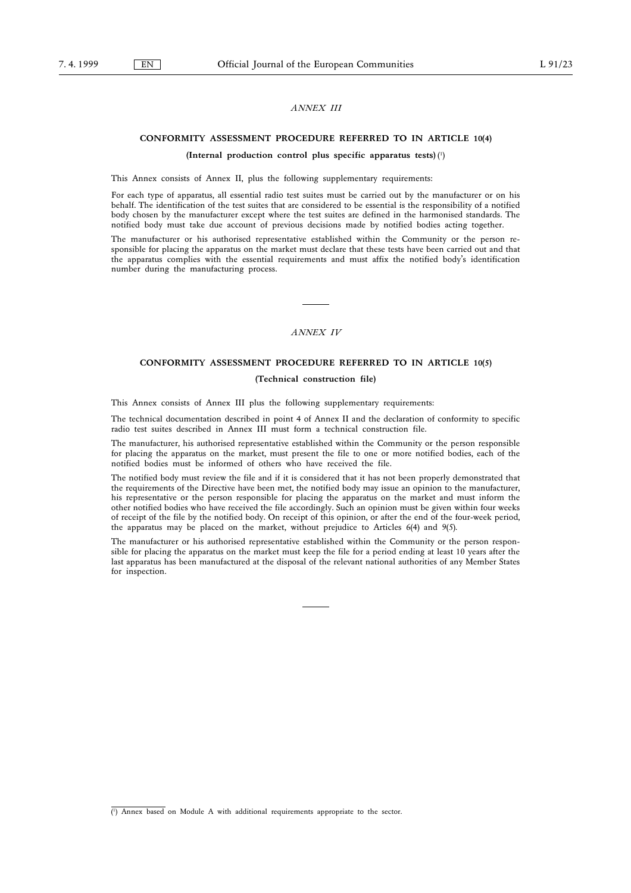### *ANNEX III*

### **CONFORMITY ASSESSMENT PROCEDURE REFERRED TO IN ARTICLE 10(4)**

#### **(Internal production control plus specific apparatus tests)** ( 1)

This Annex consists of Annex II, plus the following supplementary requirements:

For each type of apparatus, all essential radio test suites must be carried out by the manufacturer or on his behalf. The identification of the test suites that are considered to be essential is the responsibility of a notified body chosen by the manufacturer except where the test suites are defined in the harmonised standards. The notified body must take due account of previous decisions made by notified bodies acting together.

The manufacturer or his authorised representative established within the Community or the person responsible for placing the apparatus on the market must declare that these tests have been carried out and that the apparatus complies with the essential requirements and must affix the notified body's identification number during the manufacturing process.

### *ANNEX IV*

#### **CONFORMITY ASSESSMENT PROCEDURE REFERRED TO IN ARTICLE 10(5)**

#### **(Technical construction file)**

This Annex consists of Annex III plus the following supplementary requirements:

The technical documentation described in point 4 of Annex II and the declaration of conformity to specific radio test suites described in Annex III must form a technical construction file.

The manufacturer, his authorised representative established within the Community or the person responsible for placing the apparatus on the market, must present the file to one or more notified bodies, each of the notified bodies must be informed of others who have received the file.

The notified body must review the file and if it is considered that it has not been properly demonstrated that the requirements of the Directive have been met, the notified body may issue an opinion to the manufacturer, his representative or the person responsible for placing the apparatus on the market and must inform the other notified bodies who have received the file accordingly. Such an opinion must be given within four weeks of receipt of the file by the notified body. On receipt of this opinion, or after the end of the four-week period, the apparatus may be placed on the market, without prejudice to Articles 6(4) and 9(5).

The manufacturer or his authorised representative established within the Community or the person responsible for placing the apparatus on the market must keep the file for a period ending at least 10 years after the last apparatus has been manufactured at the disposal of the relevant national authorities of any Member States for inspection.

<sup>(</sup> 1) Annex based on Module A with additional requirements appropriate to the sector.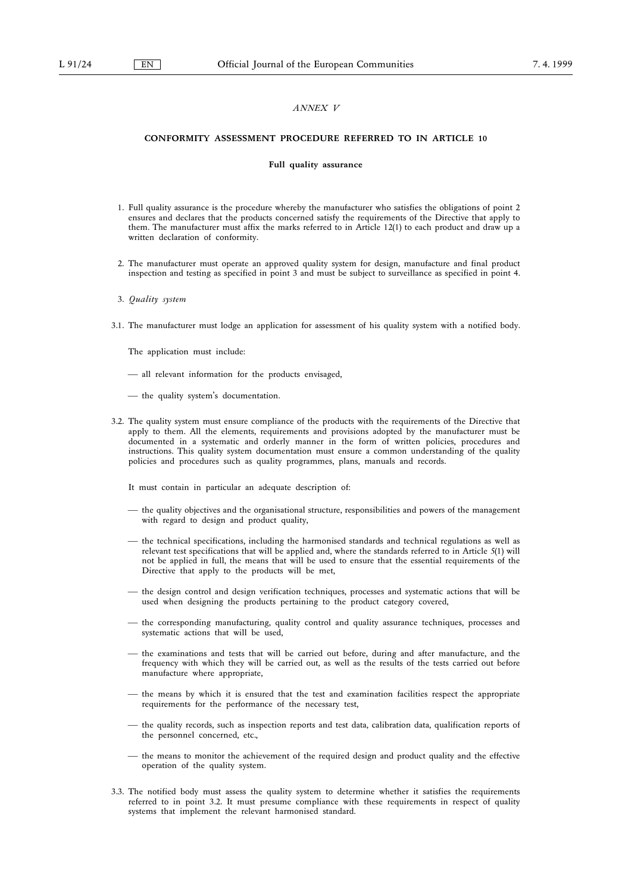### *ANNEX V*

### **CONFORMITY ASSESSMENT PROCEDURE REFERRED TO IN ARTICLE 10**

#### **Full quality assurance**

- 1. Full quality assurance is the procedure whereby the manufacturer who satisfies the obligations of point 2 ensures and declares that the products concerned satisfy the requirements of the Directive that apply to them. The manufacturer must affix the marks referred to in Article 12(1) to each product and draw up a written declaration of conformity.
- 2. The manufacturer must operate an approved quality system for design, manufacture and final product inspection and testing as specified in point 3 and must be subject to surveillance as specified in point 4.
- 3. *Quality system*
- 3.1. The manufacturer must lodge an application for assessment of his quality system with a notified body.

The application must include:

- all relevant information for the products envisaged,
- the quality system's documentation.
- 3.2. The quality system must ensure compliance of the products with the requirements of the Directive that apply to them. All the elements, requirements and provisions adopted by the manufacturer must be documented in a systematic and orderly manner in the form of written policies, procedures and instructions. This quality system documentation must ensure a common understanding of the quality policies and procedures such as quality programmes, plans, manuals and records.

It must contain in particular an adequate description of:

- the quality objectives and the organisational structure, responsibilities and powers of the management with regard to design and product quality,
- the technical specifications, including the harmonised standards and technical regulations as well as relevant test specifications that will be applied and, where the standards referred to in Article 5(1) will not be applied in full, the means that will be used to ensure that the essential requirements of the Directive that apply to the products will be met,
- the design control and design verification techniques, processes and systematic actions that will be used when designing the products pertaining to the product category covered,
- the corresponding manufacturing, quality control and quality assurance techniques, processes and systematic actions that will be used,
- the examinations and tests that will be carried out before, during and after manufacture, and the frequency with which they will be carried out, as well as the results of the tests carried out before manufacture where appropriate,
- $\frac{1}{10}$  the means by which it is ensured that the test and examination facilities respect the appropriate requirements for the performance of the necessary test,
- the quality records, such as inspection reports and test data, calibration data, qualification reports of the personnel concerned, etc.,
- the means to monitor the achievement of the required design and product quality and the effective operation of the quality system.
- 3.3. The notified body must assess the quality system to determine whether it satisfies the requirements referred to in point 3.2. It must presume compliance with these requirements in respect of quality systems that implement the relevant harmonised standard.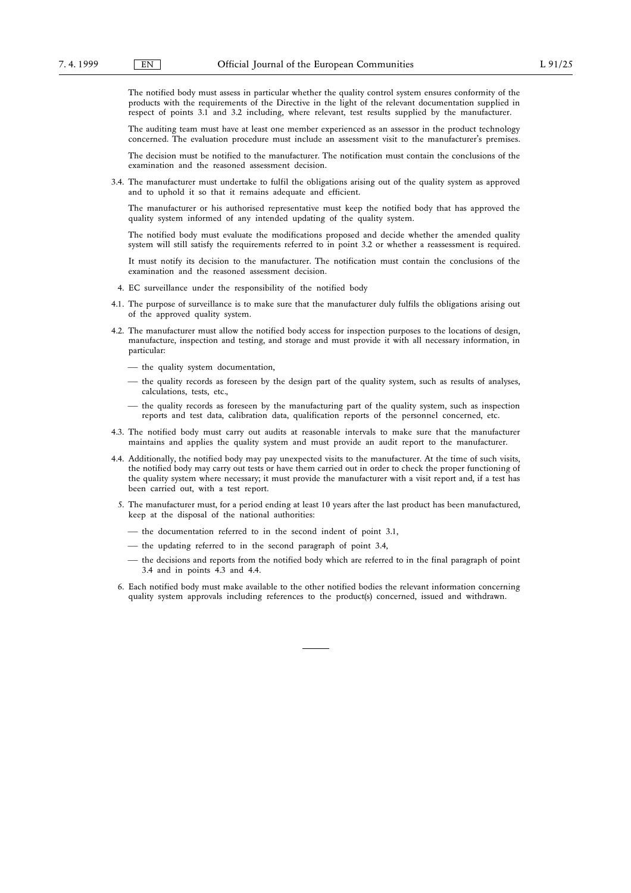The notified body must assess in particular whether the quality control system ensures conformity of the products with the requirements of the Directive in the light of the relevant documentation supplied in respect of points 3.1 and 3.2 including, where relevant, test results supplied by the manufacturer.

The auditing team must have at least one member experienced as an assessor in the product technology concerned. The evaluation procedure must include an assessment visit to the manufacturer's premises.

The decision must be notified to the manufacturer. The notification must contain the conclusions of the examination and the reasoned assessment decision.

3.4. The manufacturer must undertake to fulfil the obligations arising out of the quality system as approved and to uphold it so that it remains adequate and efficient.

The manufacturer or his authorised representative must keep the notified body that has approved the quality system informed of any intended updating of the quality system.

The notified body must evaluate the modifications proposed and decide whether the amended quality system will still satisfy the requirements referred to in point 3.2 or whether a reassessment is required.

It must notify its decision to the manufacturer. The notification must contain the conclusions of the examination and the reasoned assessment decision.

- 4. EC surveillance under the responsibility of the notified body
- 4.1. The purpose of surveillance is to make sure that the manufacturer duly fulfils the obligations arising out of the approved quality system.
- 4.2. The manufacturer must allow the notified body access for inspection purposes to the locations of design, manufacture, inspection and testing, and storage and must provide it with all necessary information, in particular:
	- the quality system documentation,
	- $-$  the quality records as foreseen by the design part of the quality system, such as results of analyses, calculations, tests, etc.,
	- the quality records as foreseen by the manufacturing part of the quality system, such as inspection reports and test data, calibration data, qualification reports of the personnel concerned, etc.
- 4.3. The notified body must carry out audits at reasonable intervals to make sure that the manufacturer maintains and applies the quality system and must provide an audit report to the manufacturer.
- 4.4. Additionally, the notified body may pay unexpected visits to the manufacturer. At the time of such visits, the notified body may carry out tests or have them carried out in order to check the proper functioning of the quality system where necessary; it must provide the manufacturer with a visit report and, if a test has been carried out, with a test report.
- 5. The manufacturer must, for a period ending at least 10 years after the last product has been manufactured, keep at the disposal of the national authorities:
	- the documentation referred to in the second indent of point 3.1,
	- the updating referred to in the second paragraph of point 3.4,
	- $-$  the decisions and reports from the notified body which are referred to in the final paragraph of point 3.4 and in points 4.3 and 4.4.
- 6. Each notified body must make available to the other notified bodies the relevant information concerning quality system approvals including references to the product(s) concerned, issued and withdrawn.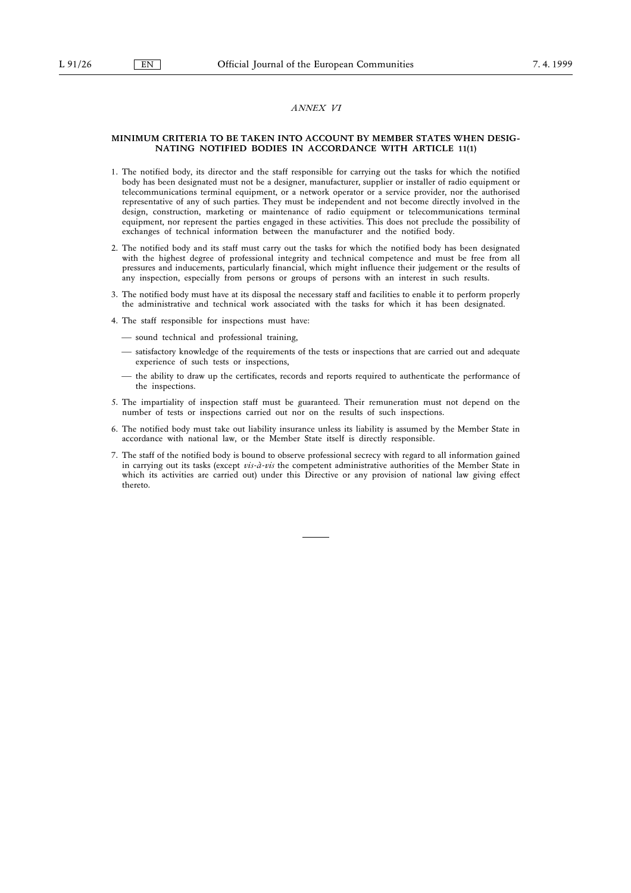#### *ANNEX VI*

#### **MINIMUM CRITERIA TO BE TAKEN INTO ACCOUNT BY MEMBER STATES WHEN DESIG-NATING NOTIFIED BODIES IN ACCORDANCE WITH ARTICLE 11(1)**

- 1. The notified body, its director and the staff responsible for carrying out the tasks for which the notified body has been designated must not be a designer, manufacturer, supplier or installer of radio equipment or telecommunications terminal equipment, or a network operator or a service provider, nor the authorised representative of any of such parties. They must be independent and not become directly involved in the design, construction, marketing or maintenance of radio equipment or telecommunications terminal equipment, nor represent the parties engaged in these activities. This does not preclude the possibility of exchanges of technical information between the manufacturer and the notified body.
- 2. The notified body and its staff must carry out the tasks for which the notified body has been designated with the highest degree of professional integrity and technical competence and must be free from all pressures and inducements, particularly financial, which might influence their judgement or the results of any inspection, especially from persons or groups of persons with an interest in such results.
- 3. The notified body must have at its disposal the necessary staff and facilities to enable it to perform properly the administrative and technical work associated with the tasks for which it has been designated.
- 4. The staff responsible for inspections must have:
	- sound technical and professional training,
	- satisfactory knowledge of the requirements of the tests or inspections that are carried out and adequate experience of such tests or inspections,
	- the ability to draw up the certificates, records and reports required to authenticate the performance of the inspections.
- 5. The impartiality of inspection staff must be guaranteed. Their remuneration must not depend on the number of tests or inspections carried out nor on the results of such inspections.
- 6. The notified body must take out liability insurance unless its liability is assumed by the Member State in accordance with national law, or the Member State itself is directly responsible.
- 7. The staff of the notified body is bound to observe professional secrecy with regard to all information gained in carrying out its tasks (except *vis-à-vis* the competent administrative authorities of the Member State in which its activities are carried out) under this Directive or any provision of national law giving effect thereto.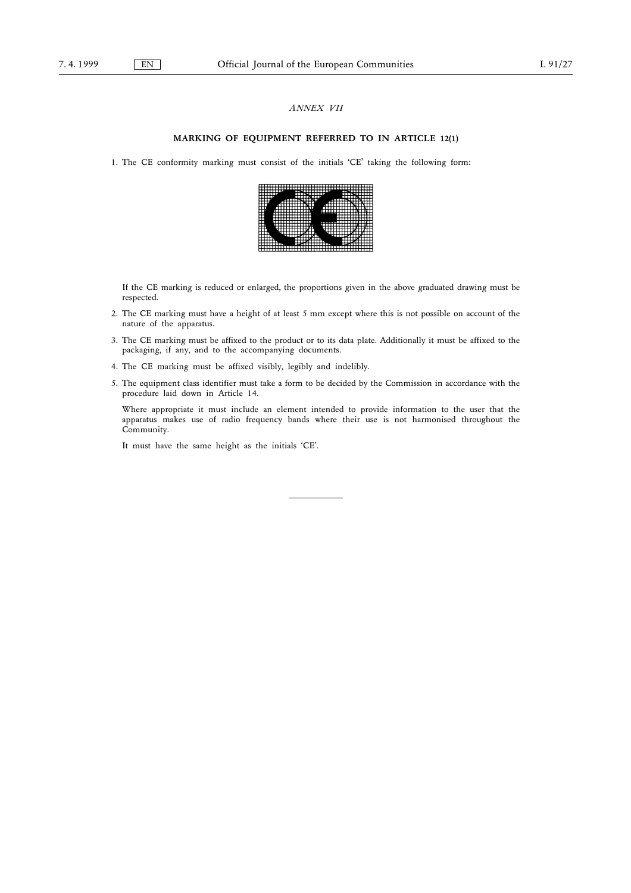## *ANNEX VII*

# **MARKING OF EQUIPMENT REFERRED TO IN ARTICLE 12(1)**

1. The CE conformity marking must consist of the initials 'CE' taking the following form:

| пп                                      |                                 |                         |
|-----------------------------------------|---------------------------------|-------------------------|
|                                         |                                 |                         |
|                                         |                                 |                         |
|                                         |                                 |                         |
|                                         |                                 |                         |
| πп<br>௱<br>                             |                                 | .<br>------------------ |
| ш<br>_____________                      |                                 | ,,,,,,,,,,,,,,,,,,,,,   |
| ਜ<br>.                                  |                                 | ---------------         |
| ш                                       |                                 | <del>.</del>            |
| ш                                       |                                 | .                       |
| ┯<br>,,,,,,,,,,,,,,,                    |                                 |                         |
| m<br>,,,,,,,,,,,,,,,,,<br>_____________ |                                 | .                       |
| гπ<br>m<br>,,,,,,,,,,,,,,,              |                                 | .<br>,,,,,,,,,,,,,,,,,, |
| mm                                      | <del></del>                     | .                       |
|                                         | What William Millian            |                         |
|                                         |                                 |                         |
|                                         |                                 |                         |
|                                         | 20022008. Playerston. Playersto |                         |
|                                         |                                 |                         |
|                                         |                                 |                         |

If the CE marking is reduced or enlarged, the proportions given in the above graduated drawing must be respected.

- 2. The CE marking must have a height of at least 5 mm except where this is not possible on account of the nature of the apparatus.
- 3. The CE marking must be affixed to the product or to its data plate. Additionally it must be affixed to the packaging, if any, and to the accompanying documents.
- 4. The CE marking must be affixed visibly, legibly and indelibly.
- 5. The equipment class identifier must take a form to be decided by the Commission in accordance with the procedure laid down in Article 14.

Where appropriate it must include an element intended to provide information to the user that the apparatus makes use of radio frequency bands where their use is not harmonised throughout the Community.

It must have the same height as the initials 'CE'.